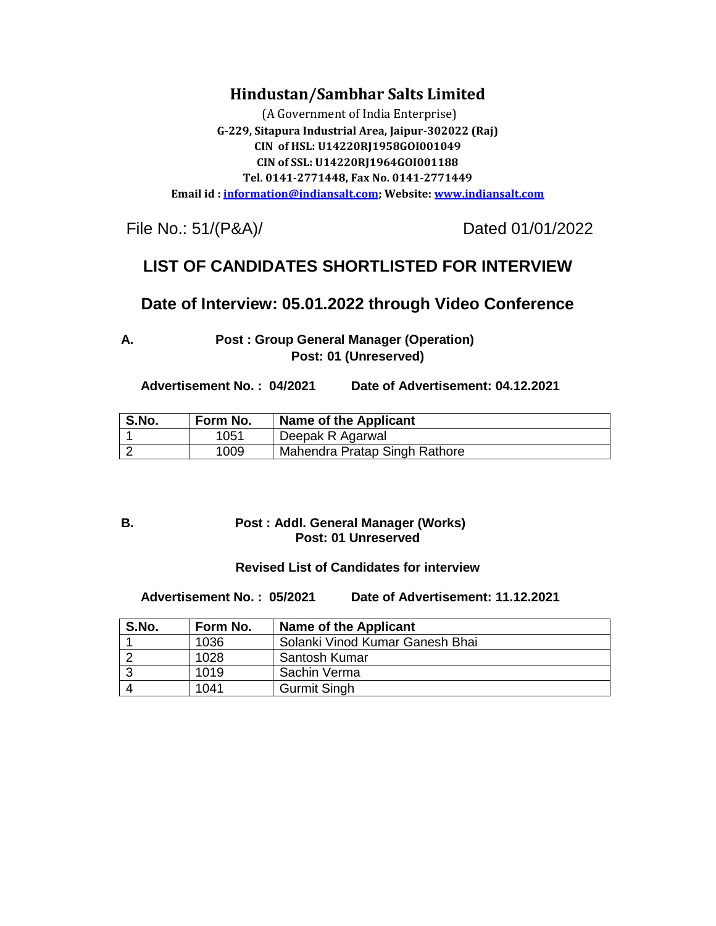## **Hindustan/Sambhar Salts Limited**

(A Government of India Enterprise) **G-229, Sitapura Industrial Area, Jaipur-302022 (Raj) CIN of HSL: U14220RJ1958GOI001049 CIN of SSL: U14220RJ1964GOI001188 Tel. 0141-2771448, Fax No. 0141-2771449 Email id : [information@indiansalt.com;](mailto:information@indiansalt.com) Website[: www.indiansalt.com](http://www.indiansalt.com/)**

File No.: 51/(P&A)/ Dated 01/01/2022

## **LIST OF CANDIDATES SHORTLISTED FOR INTERVIEW**

### **Date of Interview: 05.01.2022 through Video Conference**

**A. Post : Group General Manager (Operation) Post: 01 (Unreserved)**

 **Advertisement No. : 04/2021 Date of Advertisement: 04.12.2021**

| S.No. | Form No. | Name of the Applicant         |
|-------|----------|-------------------------------|
|       | 1051     | Deepak R Agarwal              |
|       | 1009     | Mahendra Pratap Singh Rathore |

#### **B. Post : Addl. General Manager (Works) Post: 01 Unreserved**

#### **Revised List of Candidates for interview**

 **Advertisement No. : 05/2021 Date of Advertisement: 11.12.2021**

| S.No. | Form No. | Name of the Applicant           |
|-------|----------|---------------------------------|
|       | 1036     | Solanki Vinod Kumar Ganesh Bhai |
|       | 1028     | Santosh Kumar                   |
|       | 1019     | Sachin Verma                    |
|       | 1041     | <b>Gurmit Singh</b>             |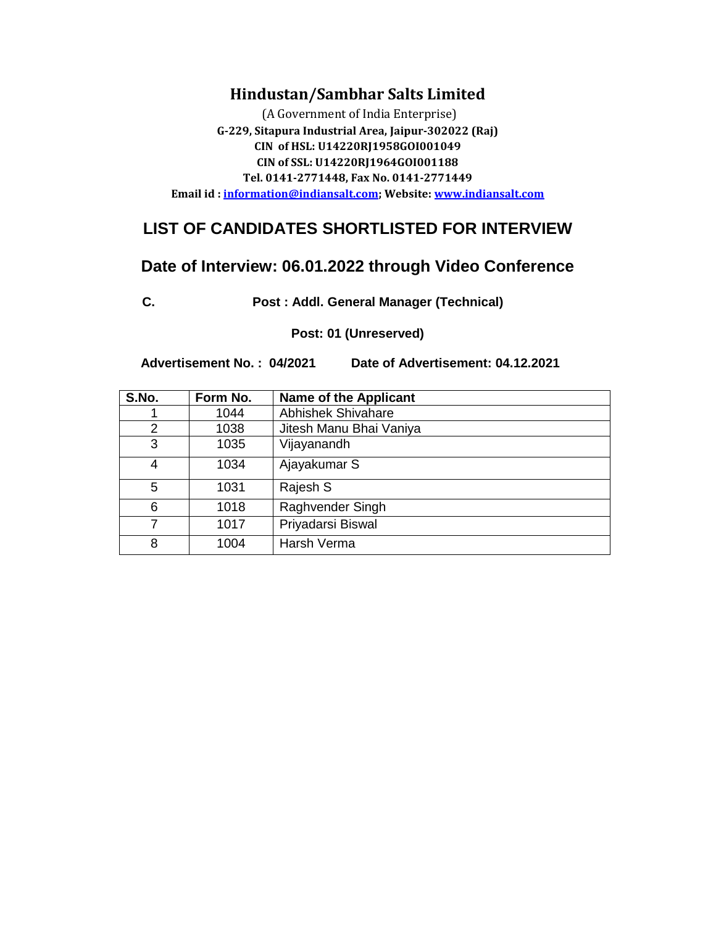### **Hindustan/Sambhar Salts Limited**

(A Government of India Enterprise) **G-229, Sitapura Industrial Area, Jaipur-302022 (Raj) CIN of HSL: U14220RJ1958GOI001049 CIN of SSL: U14220RJ1964GOI001188 Tel. 0141-2771448, Fax No. 0141-2771449 Email id : [information@indiansalt.com;](mailto:information@indiansalt.com) Website[: www.indiansalt.com](http://www.indiansalt.com/)**

# **LIST OF CANDIDATES SHORTLISTED FOR INTERVIEW**

## **Date of Interview: 06.01.2022 through Video Conference**

**C. Post : Addl. General Manager (Technical)**

**Post: 01 (Unreserved)**

 **Advertisement No. : 04/2021 Date of Advertisement: 04.12.2021**

| S.No. | Form No. | <b>Name of the Applicant</b> |
|-------|----------|------------------------------|
|       | 1044     | <b>Abhishek Shivahare</b>    |
| 2     | 1038     | Jitesh Manu Bhai Vaniya      |
| 3     | 1035     | Vijayanandh                  |
| 4     | 1034     | Ajayakumar S                 |
| 5     | 1031     | Rajesh S                     |
| 6     | 1018     | Raghvender Singh             |
| 7     | 1017     | Priyadarsi Biswal            |
| 8     | 1004     | Harsh Verma                  |